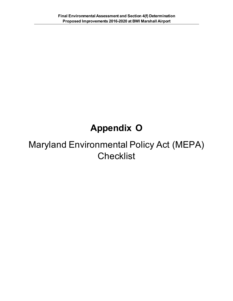## **Appendix O**

## Maryland Environmental Policy Act (MEPA) **Checklist**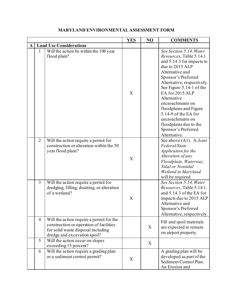|   |                |                                                                                                                                                           | <b>YES</b> | NO | <b>COMMENTS</b>                                                                                                                                                                                                                                                                                                                                                                                     |
|---|----------------|-----------------------------------------------------------------------------------------------------------------------------------------------------------|------------|----|-----------------------------------------------------------------------------------------------------------------------------------------------------------------------------------------------------------------------------------------------------------------------------------------------------------------------------------------------------------------------------------------------------|
| A |                | <b>Land Use Considerations</b>                                                                                                                            |            |    |                                                                                                                                                                                                                                                                                                                                                                                                     |
|   | $\mathbf{1}$   | Will the action be within the 100 year<br>flood plain?                                                                                                    | X          |    | See Section 5.14, Water<br>Resources, Table 5.14.1<br>and 5.14.3 for impacts to<br>due to 2015 ALP<br>Alternative and<br>Sponsor's Preferred<br>Alternative, respectively.<br>See Figure 5.14-1 of the<br>EA for 2015 ALP<br>Alternative<br>encroachments on<br>floodplains and Figure<br>5.14-9 of the EA for<br>encroachments on<br>floodplains due to the<br>Sponsor's Preferred<br>Alternative. |
|   | $\overline{2}$ | Will the action require a permit for<br>construction or alteration within the 50<br>year flood plain?                                                     | X          |    | See above (A1). A Joint<br>Federal/State<br>Application for the<br>Alteration of any<br>Floodplain, Waterway,<br><b>Tidal or Nontidal</b><br>Wetland in Maryland<br>will be required.                                                                                                                                                                                                               |
|   | $\overline{3}$ | Will the action require a permit for<br>dredging, filling, draining, or alteration<br>of a wetland?                                                       | X          |    | See Section 5.14, Water<br>Resources, Table 5.14.1<br>and 5.14.3 of the EA for<br>impacts due to 2015 ALP<br>Alternative and<br>Sponsor's Preferred<br>Alternative, respectively.                                                                                                                                                                                                                   |
|   | 4              | Will the action require a permit for the<br>construction or operation of facilities<br>for solid waste disposal including<br>dredge and excavation spoil? |            | X  | Fill and spoil materials<br>are expected to remain<br>on airport property.                                                                                                                                                                                                                                                                                                                          |
|   | 5              | Will the action occur on slopes<br>exceeding 15 percent?                                                                                                  |            | X  |                                                                                                                                                                                                                                                                                                                                                                                                     |
|   | 6              | Will the action require a grading plan<br>or a sediment control permit?                                                                                   | X          |    | A grading plan will be<br>developed as part of the<br>Sediment Control Plan.<br>An Erosion and                                                                                                                                                                                                                                                                                                      |

## **MARYLAND ENVIRONMENTAL ASSESSMENT FORM**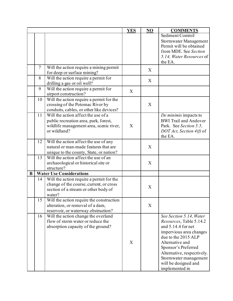|          |                |                                                                                                                                         | <b>YES</b> | NO | <b>COMMENTS</b>                                                                                                                                                                                                                                                               |
|----------|----------------|-----------------------------------------------------------------------------------------------------------------------------------------|------------|----|-------------------------------------------------------------------------------------------------------------------------------------------------------------------------------------------------------------------------------------------------------------------------------|
|          |                |                                                                                                                                         |            |    | Sediment Control/<br>Stormwater Management<br>Permit will be obtained<br>from MDE. See Section<br>5.14, Water Resources of<br>the EA.                                                                                                                                         |
|          | $\overline{7}$ | Will the action require a mining permit<br>for deep or surface mining?                                                                  |            | X  |                                                                                                                                                                                                                                                                               |
|          | 8              | Will the action require a permit for<br>drilling a gas or oil well?                                                                     |            | X  |                                                                                                                                                                                                                                                                               |
|          | 9              | Will the action require a permit for<br>airport construction?                                                                           | X          |    |                                                                                                                                                                                                                                                                               |
|          | 10             | Will the action require a permit for the<br>crossing of the Potomac River by<br>conduits, cables, or other like devices?                |            | X  |                                                                                                                                                                                                                                                                               |
|          | 11             | Will the action affect the use of a<br>public recreation area, park, forest,<br>wildlife management area, scenic river,<br>or wildland? | X          |    | De minimis impacts to<br><b>BWI Trail and Andover</b><br>Park. See Section 5.5,<br>$DOT$ Act, Section 4(f) of<br>the EA.                                                                                                                                                      |
|          | 12             | Will the action affect the use of any<br>natural or man-made features that are<br>unique to the county, State, or nation?               |            | X  |                                                                                                                                                                                                                                                                               |
|          | 13             | Will the action affect the use of an<br>archaeological or historical site or<br>structure?                                              |            | X  |                                                                                                                                                                                                                                                                               |
| $\bf{B}$ |                | <b>Water Use Considerations</b>                                                                                                         |            |    |                                                                                                                                                                                                                                                                               |
|          | 14             | Will the action require a permit for the<br>change of the course, current, or cross<br>section of a stream or other body of<br>water?   |            | X  |                                                                                                                                                                                                                                                                               |
|          | 15             | Will the action require the construction<br>alteration, or removal of a dam,<br>reservoir, or waterway obstruction?                     |            | X  |                                                                                                                                                                                                                                                                               |
|          | 16             | Will the action change the overland<br>flow of storm water or reduce the<br>absorption capacity of the ground?                          | X          |    | See Section 5.14, Water<br><i>Resources</i> , Table 5.14.2<br>and 5.14.4 for net<br>impervious area changes<br>due to the 2015 ALP<br>Alternative and<br>Sponsor's Preferred<br>Alternative, respectively.<br>Stormwater management<br>will be designed and<br>implemented in |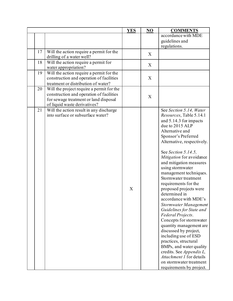|    |                                                                                                                                                                | <b>YES</b>                | NO | <b>COMMENTS</b>                                                                                                                                                                                                                                                                                                                                                                                                                                                                                                                                                                                                                                                                                                                                                             |
|----|----------------------------------------------------------------------------------------------------------------------------------------------------------------|---------------------------|----|-----------------------------------------------------------------------------------------------------------------------------------------------------------------------------------------------------------------------------------------------------------------------------------------------------------------------------------------------------------------------------------------------------------------------------------------------------------------------------------------------------------------------------------------------------------------------------------------------------------------------------------------------------------------------------------------------------------------------------------------------------------------------------|
|    |                                                                                                                                                                |                           |    | accordance with MDE<br>guidelines and<br>regulations.                                                                                                                                                                                                                                                                                                                                                                                                                                                                                                                                                                                                                                                                                                                       |
| 17 | Will the action require a permit for the<br>drilling of a water well?                                                                                          |                           | X  |                                                                                                                                                                                                                                                                                                                                                                                                                                                                                                                                                                                                                                                                                                                                                                             |
| 18 | Will the action require a permit for<br>water appropriation?                                                                                                   |                           | X  |                                                                                                                                                                                                                                                                                                                                                                                                                                                                                                                                                                                                                                                                                                                                                                             |
| 19 | Will the action require a permit for the<br>construction and operation of facilities<br>treatment or distribution of water?                                    |                           | X  |                                                                                                                                                                                                                                                                                                                                                                                                                                                                                                                                                                                                                                                                                                                                                                             |
| 20 | Will the project require a permit for the<br>construction and operation of facilities<br>for sewage treatment or land disposal<br>of liquid waste derivatives? |                           | X  |                                                                                                                                                                                                                                                                                                                                                                                                                                                                                                                                                                                                                                                                                                                                                                             |
| 21 | Will the action result in any discharge<br>into surface or subsurface water?                                                                                   | $\boldsymbol{\mathrm{X}}$ |    | See Section 5.14, Water<br>Resources, Table 5.14.1<br>and 5.14.3 for impacts<br>due to 2015 ALP<br>Alternative and<br>Sponsor's Preferred<br>Alternative, respectively.<br>See Section 5.14.5,<br>Mitigation for avoidance<br>and mitigation measures<br>using stormwater<br>management techniques.<br>Stormwater treatment<br>requirements for the<br>proposed projects were<br>determined in<br>accordance with MDE's<br>Stormwater Management<br>Guidelines for State and<br>Federal Projects.<br>Concepts for stormwater<br>quantity management are<br>discussed by project,<br>including use of ESD<br>practices, structural<br>BMPs, and water quality<br>credits. See Appendix L,<br>Attachment 1 for details<br>on stormwater treatment<br>requirements by project. |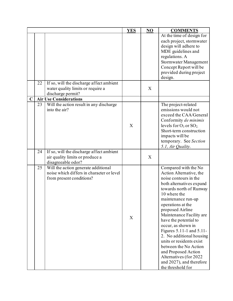|             |    |                                                                                                              | <b>YES</b> | NO | <b>COMMENTS</b>                                                                                                                                                                                                                                                                                                                                                                                                                                                                                          |
|-------------|----|--------------------------------------------------------------------------------------------------------------|------------|----|----------------------------------------------------------------------------------------------------------------------------------------------------------------------------------------------------------------------------------------------------------------------------------------------------------------------------------------------------------------------------------------------------------------------------------------------------------------------------------------------------------|
|             |    |                                                                                                              |            |    | At the time of design for<br>each project, stormwater<br>design will adhere to<br>MDE guidelines and<br>regulations. A<br>Stormwater Management<br>Concept Report will be<br>provided during project<br>design.                                                                                                                                                                                                                                                                                          |
|             | 22 | If so, will the discharge affect ambient<br>water quality limits or require a<br>discharge permit?           |            | X  |                                                                                                                                                                                                                                                                                                                                                                                                                                                                                                          |
| $\mathbf C$ |    | <b>Air Use Considerations</b>                                                                                |            |    |                                                                                                                                                                                                                                                                                                                                                                                                                                                                                                          |
|             | 23 | Will the action result in any discharge<br>into the air?                                                     | X          |    | The project-related<br>emissions would not<br>exceed the CAA/General<br>Conformity de minimis<br>levels for $O_3$ or $SO_2$ .<br>Short-term construction<br>impacts will be<br>temporary. See Section<br>5.1, Air Quality.                                                                                                                                                                                                                                                                               |
|             | 24 | If so, will the discharge affect ambient<br>air quality limits or produce a<br>disagreeable odor?            |            | X  |                                                                                                                                                                                                                                                                                                                                                                                                                                                                                                          |
|             | 25 | Will the action generate additional<br>noise which differs in character or level<br>from present conditions? | X          |    | Compared with the No<br>Action Alternative, the<br>noise contours in the<br>both alternatives expand<br>towards north of Runway<br>10 where the<br>maintenance run-up<br>operations at the<br>proposed Airline<br>Maintenance Facility are<br>have the potential to<br>occur, as shown in<br>Figures 5.11-1 and 5.11-<br>2. No additional housing<br>units or residents exist<br>between the No Action<br>and Proposed Action<br>Alternatives (for 2022<br>and 2027), and therefore<br>the threshold for |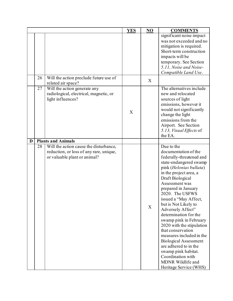|   |    |                                                                                                                   | <b>YES</b> | NO | <b>COMMENTS</b>                                                                                                                                                                                                                                                                                                                                                                                                                                                                                                                                                                          |
|---|----|-------------------------------------------------------------------------------------------------------------------|------------|----|------------------------------------------------------------------------------------------------------------------------------------------------------------------------------------------------------------------------------------------------------------------------------------------------------------------------------------------------------------------------------------------------------------------------------------------------------------------------------------------------------------------------------------------------------------------------------------------|
|   |    |                                                                                                                   |            |    | significant noise impact<br>was not exceeded and no<br>mitigation is required.<br>Short-term construction<br>impacts will be<br>temporary. See Section<br>5.11, Noise and Noise-<br>Compatible Land Use.                                                                                                                                                                                                                                                                                                                                                                                 |
|   | 26 | Will the action preclude future use of<br>related air space?                                                      |            | X  |                                                                                                                                                                                                                                                                                                                                                                                                                                                                                                                                                                                          |
|   | 27 | Will the action generate any<br>radiological, electrical, magnetic, or<br>light influences?                       | X          |    | The alternatives include<br>new and relocated<br>sources of light<br>emissions, however it<br>would not significantly<br>change the light<br>emissions from the<br>Airport. See Section<br>5.13, Visual Effects of<br>the EA.                                                                                                                                                                                                                                                                                                                                                            |
| D |    | <b>Plants and Animals</b>                                                                                         |            |    |                                                                                                                                                                                                                                                                                                                                                                                                                                                                                                                                                                                          |
|   | 28 | Will the action cause the disturbance,<br>reduction, or loss of any rare, unique,<br>or valuable plant or animal? |            | X  | Due to the<br>documentation of the<br>federally-threatened and<br>state-endangered swamp<br>pink (Helonias bullata)<br>in the project area, a<br>Draft Biological<br>Assessment was<br>prepared in January<br>2020. The USFWS<br>issued a "May Affect,<br>but is Not Likely to<br>Adversely Affect"<br>determination for the<br>swamp pink in February<br>2020 with the stipulation<br>that conservation<br>measures included in the<br><b>Biological Assessment</b><br>are adhered to in the<br>swamp pink habitat.<br>Coordination with<br>MDNR Wildlife and<br>Heritage Service (WHS) |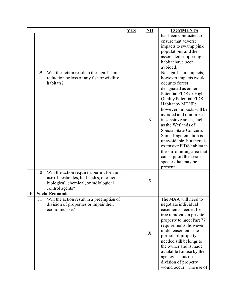|   |    |                                                                                                      | <b>YES</b> | NO | <b>COMMENTS</b>                                                                                                                                                                                                                                                                                                                                                                                                                                                                                                                                                                                                |
|---|----|------------------------------------------------------------------------------------------------------|------------|----|----------------------------------------------------------------------------------------------------------------------------------------------------------------------------------------------------------------------------------------------------------------------------------------------------------------------------------------------------------------------------------------------------------------------------------------------------------------------------------------------------------------------------------------------------------------------------------------------------------------|
|   | 29 | Will the action result in the significant<br>reduction or loss of any fish or wildlife<br>habitats?  |            | X  | has been conducted to<br>ensure that adverse<br>impacts to swamp pink<br>populations and the<br>associated supporting<br>habitat have been<br>avoided.<br>No significant impacts,<br>however impacts would<br>occur to forest<br>designated as either<br>Potential FIDS or High<br><b>Quality Potential FIDS</b><br>Habitat by MDNR;<br>however, impacts will be<br>avoided and minimized<br>in sensitive areas, such<br>as the Wetlands of<br>Special State Concern.<br>Some fragmentation is<br>unavoidable, but there is<br>extensive FIDS habitat in<br>the surrounding area that<br>can support the avian |
|   | 30 | Will the action require a permit for the                                                             |            |    | species that may be<br>present.                                                                                                                                                                                                                                                                                                                                                                                                                                                                                                                                                                                |
|   |    | use of pesticides, herbicides, or other<br>biological, chemical, or radiological<br>control agents?  |            | X  |                                                                                                                                                                                                                                                                                                                                                                                                                                                                                                                                                                                                                |
| E |    | Socio-Economic                                                                                       |            |    |                                                                                                                                                                                                                                                                                                                                                                                                                                                                                                                                                                                                                |
|   | 31 | Will the action result in a preemption of<br>division of properties or impair their<br>economic use? |            | X  | The MAA will need to<br>negotiate individual<br>easements needed for<br>tree removal on private<br>property to meet Part 77<br>requirements, however<br>under easements the<br>portion of property<br>needed still belongs to<br>the owner and is made<br>available for use by the<br>agency. Thus no<br>division of property<br>would occur. The use of                                                                                                                                                                                                                                                       |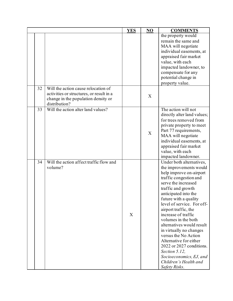|    |                                                                                                                                         | <b>YES</b> | NO | <b>COMMENTS</b>                                                                                                                                                                                                                                                                                                                                                                                                                                                                                                                       |
|----|-----------------------------------------------------------------------------------------------------------------------------------------|------------|----|---------------------------------------------------------------------------------------------------------------------------------------------------------------------------------------------------------------------------------------------------------------------------------------------------------------------------------------------------------------------------------------------------------------------------------------------------------------------------------------------------------------------------------------|
|    |                                                                                                                                         |            |    | the property would<br>remain the same and<br>MAA will negotiate<br>individual easements, at<br>appraised fair market<br>value, with each<br>impacted landowner, to<br>compensate for any<br>potential change in<br>property value.                                                                                                                                                                                                                                                                                                    |
| 32 | Will the action cause relocation of<br>activities or structures, or result in a<br>change in the population density or<br>distribution? |            | X  |                                                                                                                                                                                                                                                                                                                                                                                                                                                                                                                                       |
| 33 | Will the action alter land values?                                                                                                      |            | X  | The action will not<br>directly alter land values;<br>for trees removed from<br>private property to meet<br>Part 77 requirements,<br>MAA will negotiate<br>individual easements, at<br>appraised fair market<br>value, with each<br>impacted landowner.                                                                                                                                                                                                                                                                               |
| 34 | Will the action affect traffic flow and<br>volume?                                                                                      | X          |    | Under both alternatives,<br>the improvements would<br>help improve on-airport<br>traffic congestion and<br>serve the increased<br>traffic and growth<br>anticipated into the<br>future with a quality<br>level of service. For off-<br>airport traffic, the<br>increase of traffic<br>volumes in the both<br>alternatives would result<br>in virtually no changes<br>versus the No Action<br>Alternative for either<br>2022 or 2027 conditions.<br>Section 5.12,<br>Socioeconomics, EJ, and<br>Children's Health and<br>Safety Risks. |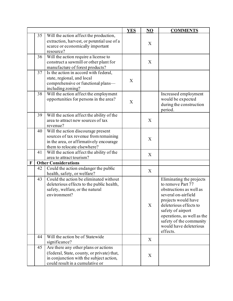|              |    |                                            | <b>YES</b> | NO | <b>COMMENTS</b>            |
|--------------|----|--------------------------------------------|------------|----|----------------------------|
|              | 35 | Will the action affect the production,     |            |    |                            |
|              |    | extraction, harvest, or potential use of a |            | X  |                            |
|              |    | scarce or economically important           |            |    |                            |
|              |    | resource?                                  |            |    |                            |
|              | 36 | Will the action require a license to       |            |    |                            |
|              |    | construct a sawmill or other plant for     |            | X  |                            |
|              |    | manufacture of forest products?            |            |    |                            |
|              | 37 | Is the action in accord with federal,      |            |    |                            |
|              |    | state, regional, and local                 |            |    |                            |
|              |    | comprehensive or functional plans-         | X          |    |                            |
|              |    | including zoning?                          |            |    |                            |
|              | 38 | Will the action affect the employment      |            |    | Increased employment       |
|              |    | opportunities for persons in the area?     |            |    | would be expected          |
|              |    |                                            | X          |    | during the construction    |
|              |    |                                            |            |    | period.                    |
|              | 39 | Will the action affect the ability of the  |            |    |                            |
|              |    | area to attract new sources of tax         |            | X  |                            |
|              |    | revenue?                                   |            |    |                            |
|              | 40 | Will the action discourage present         |            |    |                            |
|              |    | sources of tax revenue from remaining      |            |    |                            |
|              |    | in the area, or affirmatively encourage    |            | X  |                            |
|              |    | them to relocate elsewhere?                |            |    |                            |
|              | 41 | Will the action affect the ability of the  |            |    |                            |
|              |    | area to attract tourism?                   |            | X  |                            |
| $\mathbf{F}$ |    | <b>Other Considerations</b>                |            |    |                            |
|              | 42 | Could the action endanger the public       |            |    |                            |
|              |    | health, safety, or welfare?                |            | X  |                            |
|              | 43 | Could the action be eliminated without     |            |    | Eliminating the projects   |
|              |    | deleterious effects to the public health,  |            |    | to remove Part 77          |
|              |    | safety, welfare, or the natural            |            |    | obstructions as well as    |
|              |    | environment?                               |            |    | several on-airfield        |
|              |    |                                            |            |    | projects would have        |
|              |    |                                            |            | X  | deleterious effects to     |
|              |    |                                            |            |    | safety of airport          |
|              |    |                                            |            |    | operations, as well as the |
|              |    |                                            |            |    | safety of the community    |
|              |    |                                            |            |    | would have deleterious     |
|              |    |                                            |            |    | effects.                   |
|              | 44 | Will the action be of Statewide            |            |    |                            |
|              |    | significance?                              |            | X  |                            |
|              | 45 | Are there any other plans or actions       |            |    |                            |
|              |    | (federal, State, county, or private) that, |            |    |                            |
|              |    | in conjunction with the subject action,    |            | X  |                            |
|              |    | could result in a cumulative or            |            |    |                            |